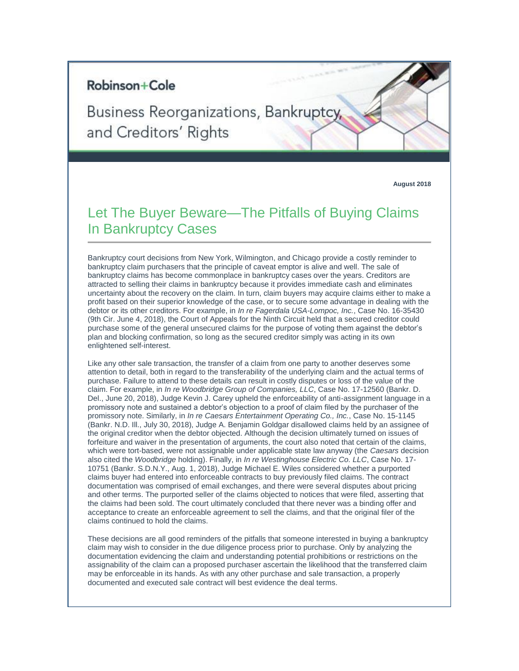## Robinson+Cole

Business Reorganizations, Bankruptcy, and Creditors' Rights

**August 2018**

## Let The Buyer Beware—The Pitfalls of Buying Claims In Bankruptcy Cases

Bankruptcy court decisions from New York, Wilmington, and Chicago provide a costly reminder to bankruptcy claim purchasers that the principle of caveat emptor is alive and well. The sale of bankruptcy claims has become commonplace in bankruptcy cases over the years. Creditors are attracted to selling their claims in bankruptcy because it provides immediate cash and eliminates uncertainty about the recovery on the claim. In turn, claim buyers may acquire claims either to make a profit based on their superior knowledge of the case, or to secure some advantage in dealing with the debtor or its other creditors. For example, in *In re Fagerdala USA-Lompoc, Inc.*, Case No. 16-35430 (9th Cir. June 4, 2018), the Court of Appeals for the Ninth Circuit held that a secured creditor could purchase some of the general unsecured claims for the purpose of voting them against the debtor's plan and blocking confirmation, so long as the secured creditor simply was acting in its own enlightened self-interest.

Like any other sale transaction, the transfer of a claim from one party to another deserves some attention to detail, both in regard to the transferability of the underlying claim and the actual terms of purchase. Failure to attend to these details can result in costly disputes or loss of the value of the claim. For example, in *In re Woodbridge Group of Companies, LLC*, Case No. 17-12560 (Bankr. D. Del., June 20, 2018), Judge Kevin J. Carey upheld the enforceability of anti-assignment language in a promissory note and sustained a debtor's objection to a proof of claim filed by the purchaser of the promissory note. Similarly, in *In re Caesars Entertainment Operating Co., Inc.*, Case No. 15-1145 (Bankr. N.D. Ill., July 30, 2018), Judge A. Benjamin Goldgar disallowed claims held by an assignee of the original creditor when the debtor objected. Although the decision ultimately turned on issues of forfeiture and waiver in the presentation of arguments, the court also noted that certain of the claims, which were tort-based, were not assignable under applicable state law anyway (the *Caesars* decision also cited the *Woodbridge* holding). Finally, in *In re Westinghouse Electric Co. LLC*, Case No. 17- 10751 (Bankr. S.D.N.Y., Aug. 1, 2018), Judge Michael E. Wiles considered whether a purported claims buyer had entered into enforceable contracts to buy previously filed claims. The contract documentation was comprised of email exchanges, and there were several disputes about pricing and other terms. The purported seller of the claims objected to notices that were filed, asserting that the claims had been sold. The court ultimately concluded that there never was a binding offer and acceptance to create an enforceable agreement to sell the claims, and that the original filer of the claims continued to hold the claims.

These decisions are all good reminders of the pitfalls that someone interested in buying a bankruptcy claim may wish to consider in the due diligence process prior to purchase. Only by analyzing the documentation evidencing the claim and understanding potential prohibitions or restrictions on the assignability of the claim can a proposed purchaser ascertain the likelihood that the transferred claim may be enforceable in its hands. As with any other purchase and sale transaction, a properly documented and executed sale contract will best evidence the deal terms.